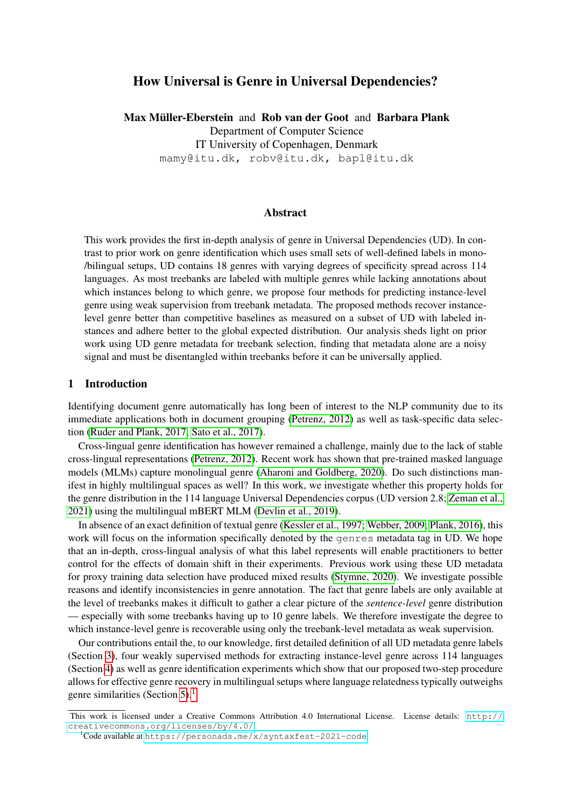# How Universal is Genre in Universal Dependencies?

Max Müller-Eberstein and Rob van der Goot and Barbara Plank Department of Computer Science IT University of Copenhagen, Denmark mamy@itu.dk, robv@itu.dk, bapl@itu.dk

### Abstract

This work provides the first in-depth analysis of genre in Universal Dependencies (UD). In contrast to prior work on genre identification which uses small sets of well-defined labels in mono- /bilingual setups, UD contains 18 genres with varying degrees of specificity spread across 114 languages. As most treebanks are labeled with multiple genres while lacking annotations about which instances belong to which genre, we propose four methods for predicting instance-level genre using weak supervision from treebank metadata. The proposed methods recover instancelevel genre better than competitive baselines as measured on a subset of UD with labeled instances and adhere better to the global expected distribution. Our analysis sheds light on prior work using UD genre metadata for treebank selection, finding that metadata alone are a noisy signal and must be disentangled within treebanks before it can be universally applied.

## 1 Introduction

Identifying document genre automatically has long been of interest to the NLP community due to its immediate applications both in document grouping [\(Petrenz, 2012\)](#page-12-0) as well as task-specific data selection [\(Ruder and Plank, 2017;](#page-12-1) [Sato et al., 2017\)](#page-12-2).

Cross-lingual genre identification has however remained a challenge, mainly due to the lack of stable cross-lingual representations [\(Petrenz, 2012\)](#page-12-0). Recent work has shown that pre-trained masked language models (MLMs) capture monolingual genre [\(Aharoni and Goldberg, 2020\)](#page-10-0). Do such distinctions manifest in highly multilingual spaces as well? In this work, we investigate whether this property holds for the genre distribution in the 114 language Universal Dependencies corpus (UD version 2.8; [Zeman et al.,](#page-14-0) [2021\)](#page-14-0) using the multilingual mBERT MLM [\(Devlin et al., 2019\)](#page-10-1).

In absence of an exact definition of textual genre [\(Kessler et al., 1997;](#page-11-0) [Webber, 2009;](#page-13-0) [Plank, 2016\)](#page-12-3), this work will focus on the information specifically denoted by the genres metadata tag in UD. We hope that an in-depth, cross-lingual analysis of what this label represents will enable practitioners to better control for the effects of domain shift in their experiments. Previous work using these UD metadata for proxy training data selection have produced mixed results [\(Stymne, 2020\)](#page-13-1). We investigate possible reasons and identify inconsistencies in genre annotation. The fact that genre labels are only available at the level of treebanks makes it difficult to gather a clear picture of the *sentence-level* genre distribution — especially with some treebanks having up to 10 genre labels. We therefore investigate the degree to which instance-level genre is recoverable using only the treebank-level metadata as weak supervision.

Our contributions entail the, to our knowledge, first detailed definition of all UD metadata genre labels (Section [3\)](#page-1-0), four weakly supervised methods for extracting instance-level genre across 114 languages (Section [4\)](#page-4-0) as well as genre identification experiments which show that our proposed two-step procedure allows for effective genre recovery in multilingual setups where language relatedness typically outweighs genre similarities (Section [5\)](#page-6-0).<sup>[1](#page-0-0)</sup>

This work is licensed under a Creative Commons Attribution 4.0 International License. License details: [http://](http://creativecommons.org/licenses/by/4.0/) [creativecommons.org/licenses/by/4.0/](http://creativecommons.org/licenses/by/4.0/).

<span id="page-0-0"></span><sup>1</sup>Code available at <https://personads.me/x/syntaxfest-2021-code>.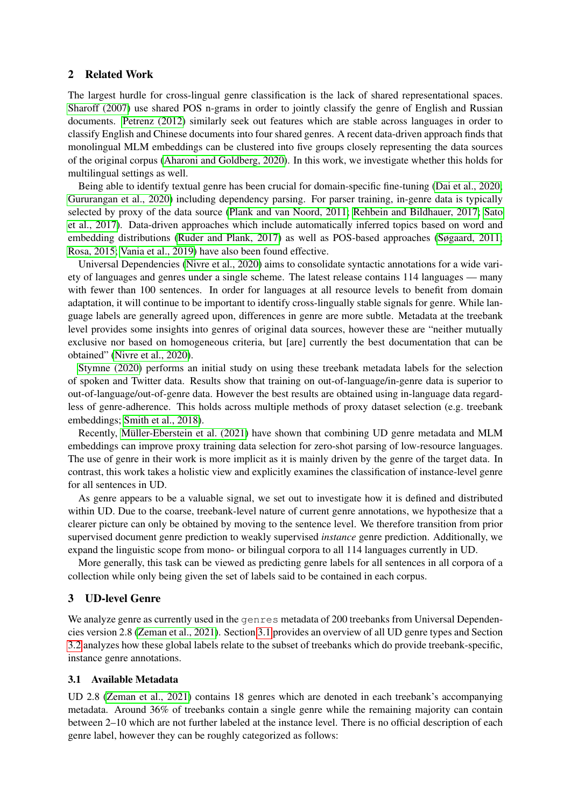## 2 Related Work

The largest hurdle for cross-lingual genre classification is the lack of shared representational spaces. [Sharoff \(2007\)](#page-12-4) use shared POS n-grams in order to jointly classify the genre of English and Russian documents. [Petrenz \(2012\)](#page-12-0) similarly seek out features which are stable across languages in order to classify English and Chinese documents into four shared genres. A recent data-driven approach finds that monolingual MLM embeddings can be clustered into five groups closely representing the data sources of the original corpus [\(Aharoni and Goldberg, 2020\)](#page-10-0). In this work, we investigate whether this holds for multilingual settings as well.

Being able to identify textual genre has been crucial for domain-specific fine-tuning [\(Dai et al., 2020;](#page-10-2) [Gururangan et al., 2020\)](#page-10-3) including dependency parsing. For parser training, in-genre data is typically selected by proxy of the data source [\(Plank and van Noord, 2011;](#page-12-5) [Rehbein and Bildhauer, 2017;](#page-12-6) [Sato](#page-12-2) [et al., 2017\)](#page-12-2). Data-driven approaches which include automatically inferred topics based on word and embedding distributions [\(Ruder and Plank, 2017\)](#page-12-1) as well as POS-based approaches [\(Søgaard, 2011;](#page-13-2) [Rosa, 2015;](#page-12-7) [Vania et al., 2019\)](#page-13-3) have also been found effective.

Universal Dependencies [\(Nivre et al., 2020\)](#page-12-8) aims to consolidate syntactic annotations for a wide variety of languages and genres under a single scheme. The latest release contains 114 languages — many with fewer than 100 sentences. In order for languages at all resource levels to benefit from domain adaptation, it will continue to be important to identify cross-lingually stable signals for genre. While language labels are generally agreed upon, differences in genre are more subtle. Metadata at the treebank level provides some insights into genres of original data sources, however these are "neither mutually exclusive nor based on homogeneous criteria, but [are] currently the best documentation that can be obtained" [\(Nivre et al., 2020\)](#page-12-8).

[Stymne \(2020\)](#page-13-1) performs an initial study on using these treebank metadata labels for the selection of spoken and Twitter data. Results show that training on out-of-language/in-genre data is superior to out-of-language/out-of-genre data. However the best results are obtained using in-language data regardless of genre-adherence. This holds across multiple methods of proxy dataset selection (e.g. treebank embeddings; [Smith et al., 2018\)](#page-13-4).

Recently, [Müller-Eberstein et al. \(2021\)](#page-11-1) have shown that combining UD genre metadata and MLM embeddings can improve proxy training data selection for zero-shot parsing of low-resource languages. The use of genre in their work is more implicit as it is mainly driven by the genre of the target data. In contrast, this work takes a holistic view and explicitly examines the classification of instance-level genre for all sentences in UD.

As genre appears to be a valuable signal, we set out to investigate how it is defined and distributed within UD. Due to the coarse, treebank-level nature of current genre annotations, we hypothesize that a clearer picture can only be obtained by moving to the sentence level. We therefore transition from prior supervised document genre prediction to weakly supervised *instance* genre prediction. Additionally, we expand the linguistic scope from mono- or bilingual corpora to all 114 languages currently in UD.

More generally, this task can be viewed as predicting genre labels for all sentences in all corpora of a collection while only being given the set of labels said to be contained in each corpus.

### <span id="page-1-0"></span>3 UD-level Genre

We analyze genre as currently used in the genres metadata of 200 treebanks from Universal Dependencies version 2.8 [\(Zeman et al., 2021\)](#page-14-0). Section [3.1](#page-1-1) provides an overview of all UD genre types and Section [3.2](#page-3-0) analyzes how these global labels relate to the subset of treebanks which do provide treebank-specific, instance genre annotations.

#### <span id="page-1-1"></span>3.1 Available Metadata

UD 2.8 [\(Zeman et al., 2021\)](#page-14-0) contains 18 genres which are denoted in each treebank's accompanying metadata. Around 36% of treebanks contain a single genre while the remaining majority can contain between 2–10 which are not further labeled at the instance level. There is no official description of each genre label, however they can be roughly categorized as follows: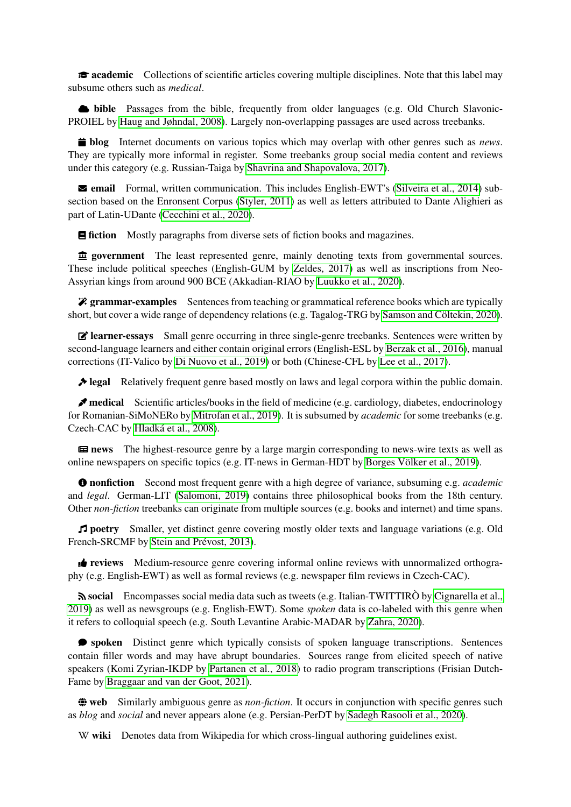**academic** Collections of scientific articles covering multiple disciplines. Note that this label may subsume others such as *medical*.

 $\bullet$  **bible** Passages from the bible, frequently from older languages (e.g. Old Church Slavonic-PROIEL by [Haug and Jøhndal, 2008\)](#page-11-2). Largely non-overlapping passages are used across treebanks.

**in blog** Internet documents on various topics which may overlap with other genres such as *news*. They are typically more informal in register. Some treebanks group social media content and reviews under this category (e.g. Russian-Taiga by [Shavrina and Shapovalova, 2017\)](#page-13-5).

 $\blacktriangleright$  **email** Formal, written communication. This includes English-EWT's [\(Silveira et al., 2014\)](#page-13-6) subsection based on the Enronsent Corpus [\(Styler, 2011\)](#page-13-7) as well as letters attributed to Dante Alighieri as part of Latin-UDante [\(Cecchini et al., 2020\)](#page-10-4).

**E** fiction Mostly paragraphs from diverse sets of fiction books and magazines.

 $\hat{\mathbf{\underline{m}}}$  government The least represented genre, mainly denoting texts from governmental sources. These include political speeches (English-GUM by [Zeldes, 2017\)](#page-13-8) as well as inscriptions from Neo-Assyrian kings from around 900 BCE (Akkadian-RIAO by [Luukko et al., 2020\)](#page-11-3).

**? grammar-examples** Sentences from teaching or grammatical reference books which are typically short, but cover a wide range of dependency relations (e.g. Tagalog-TRG by [Samson and Cöltekin, 2020\)](#page-12-9).

 $\mathbf{\vec{B}}$  **learner-essays** Small genre occurring in three single-genre treebanks. Sentences were written by second-language learners and either contain original errors (English-ESL by [Berzak et al., 2016\)](#page-10-5), manual corrections (IT-Valico by [Di Nuovo et al., 2019\)](#page-10-6) or both (Chinese-CFL by [Lee et al., 2017\)](#page-11-4).

 $\triangle$  **legal** Relatively frequent genre based mostly on laws and legal corpora within the public domain.

**Medical** Scientific articles/books in the field of medicine (e.g. cardiology, diabetes, endocrinology for Romanian-SiMoNERo by [Mitrofan et al., 2019\)](#page-11-5). It is subsumed by *academic* for some treebanks (e.g. Czech-CAC by [Hladká et al., 2008\)](#page-11-6).

**Example 12** news The highest-resource genre by a large margin corresponding to news-wire texts as well as online newspapers on specific topics (e.g. IT-news in German-HDT by [Borges Völker et al., 2019\)](#page-10-7).

ð nonfiction Second most frequent genre with a high degree of variance, subsuming e.g. *academic* and *legal*. German-LIT [\(Salomoni, 2019\)](#page-12-10) contains three philosophical books from the 18th century. Other *non-fiction* treebanks can originate from multiple sources (e.g. books and internet) and time spans.

W poetry Smaller, yet distinct genre covering mostly older texts and language variations (e.g. Old French-SRCMF by [Stein and Prévost, 2013\)](#page-13-9).

**t** reviews Medium-resource genre covering informal online reviews with unnormalized orthography (e.g. English-EWT) as well as formal reviews (e.g. newspaper film reviews in Czech-CAC).

social Encompasses social media data such as tweets (e.g. Italian-TWITTIRÒ by [Cignarella et al.,](#page-10-8) [2019\)](#page-10-8) as well as newsgroups (e.g. English-EWT). Some *spoken* data is co-labeled with this genre when it refers to colloquial speech (e.g. South Levantine Arabic-MADAR by [Zahra, 2020\)](#page-13-10).

Õ spoken Distinct genre which typically consists of spoken language transcriptions. Sentences contain filler words and may have abrupt boundaries. Sources range from elicited speech of native speakers (Komi Zyrian-IKDP by [Partanen et al., 2018\)](#page-12-11) to radio program transcriptions (Frisian Dutch-Fame by [Braggaar and van der Goot, 2021\)](#page-10-9).

~ web Similarly ambiguous genre as *non-fiction*. It occurs in conjunction with specific genres such as *blog* and *social* and never appears alone (e.g. Persian-PerDT by [Sadegh Rasooli et al., 2020\)](#page-12-12).

W wiki Denotes data from Wikipedia for which cross-lingual authoring guidelines exist.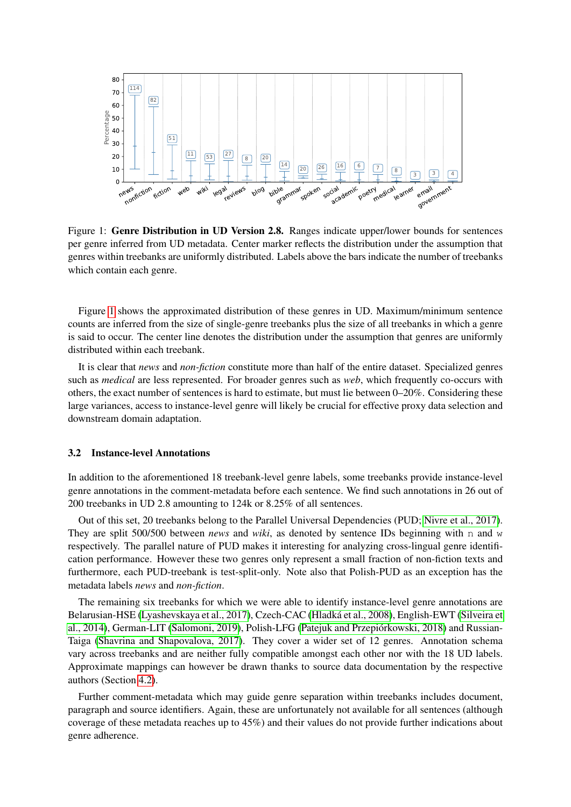<span id="page-3-1"></span>

Figure 1: Genre Distribution in UD Version 2.8. Ranges indicate upper/lower bounds for sentences per genre inferred from UD metadata. Center marker reflects the distribution under the assumption that genres within treebanks are uniformly distributed. Labels above the bars indicate the number of treebanks which contain each genre.

Figure [1](#page-3-1) shows the approximated distribution of these genres in UD. Maximum/minimum sentence counts are inferred from the size of single-genre treebanks plus the size of all treebanks in which a genre is said to occur. The center line denotes the distribution under the assumption that genres are uniformly distributed within each treebank.

It is clear that *news* and *non-fiction* constitute more than half of the entire dataset. Specialized genres such as *medical* are less represented. For broader genres such as *web*, which frequently co-occurs with others, the exact number of sentences is hard to estimate, but must lie between 0–20%. Considering these large variances, access to instance-level genre will likely be crucial for effective proxy data selection and downstream domain adaptation.

#### <span id="page-3-0"></span>3.2 Instance-level Annotations

In addition to the aforementioned 18 treebank-level genre labels, some treebanks provide instance-level genre annotations in the comment-metadata before each sentence. We find such annotations in 26 out of 200 treebanks in UD 2.8 amounting to 124k or 8.25% of all sentences.

Out of this set, 20 treebanks belong to the Parallel Universal Dependencies (PUD; [Nivre et al., 2017\)](#page-11-7). They are split 500/500 between *news* and *wiki*, as denoted by sentence IDs beginning with n and w respectively. The parallel nature of PUD makes it interesting for analyzing cross-lingual genre identification performance. However these two genres only represent a small fraction of non-fiction texts and furthermore, each PUD-treebank is test-split-only. Note also that Polish-PUD as an exception has the metadata labels *news* and *non-fiction*.

The remaining six treebanks for which we were able to identify instance-level genre annotations are Belarusian-HSE [\(Lyashevskaya et al., 2017\)](#page-11-8), Czech-CAC [\(Hladká et al., 2008\)](#page-11-6), English-EWT [\(Silveira et](#page-13-6) [al., 2014\)](#page-13-6), German-LIT [\(Salomoni, 2019\)](#page-12-10), Polish-LFG [\(Patejuk and Przepiórkowski, 2018\)](#page-12-13) and Russian-Taiga [\(Shavrina and Shapovalova, 2017\)](#page-13-5). They cover a wider set of 12 genres. Annotation schema vary across treebanks and are neither fully compatible amongst each other nor with the 18 UD labels. Approximate mappings can however be drawn thanks to source data documentation by the respective authors (Section [4.2\)](#page-5-0).

Further comment-metadata which may guide genre separation within treebanks includes document, paragraph and source identifiers. Again, these are unfortunately not available for all sentences (although coverage of these metadata reaches up to 45%) and their values do not provide further indications about genre adherence.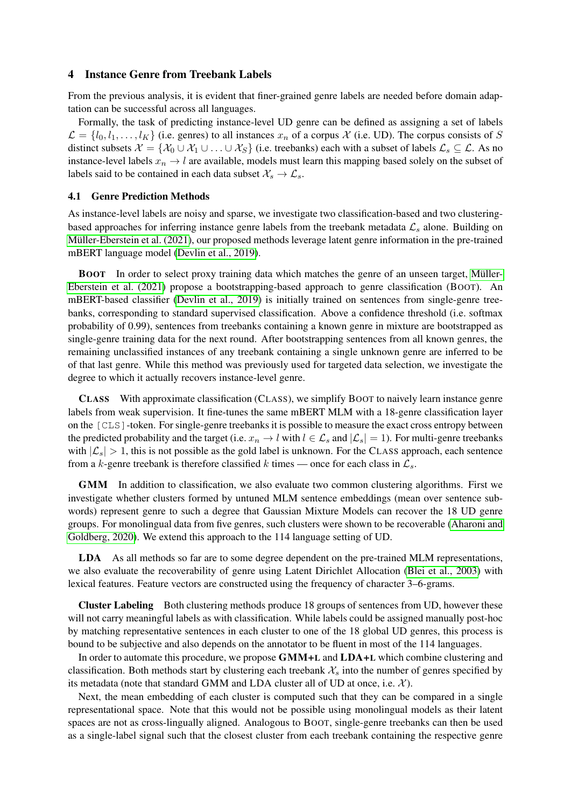### <span id="page-4-0"></span>4 Instance Genre from Treebank Labels

From the previous analysis, it is evident that finer-grained genre labels are needed before domain adaptation can be successful across all languages.

Formally, the task of predicting instance-level UD genre can be defined as assigning a set of labels  $\mathcal{L} = \{l_0, l_1, \ldots, l_K\}$  (i.e. genres) to all instances  $x_n$  of a corpus X (i.e. UD). The corpus consists of S distinct subsets  $\mathcal{X} = \{ \mathcal{X}_0 \cup \mathcal{X}_1 \cup \ldots \cup \mathcal{X}_S \}$  (i.e. treebanks) each with a subset of labels  $\mathcal{L}_s \subseteq \mathcal{L}$ . As no instance-level labels  $x_n \to l$  are available, models must learn this mapping based solely on the subset of labels said to be contained in each data subset  $\mathcal{X}_s \to \mathcal{L}_s$ .

### <span id="page-4-1"></span>4.1 Genre Prediction Methods

As instance-level labels are noisy and sparse, we investigate two classification-based and two clusteringbased approaches for inferring instance genre labels from the treebank metadata  $\mathcal{L}_s$  alone. Building on [Müller-Eberstein et al. \(2021\)](#page-11-1), our proposed methods leverage latent genre information in the pre-trained mBERT language model [\(Devlin et al., 2019\)](#page-10-1).

BOOT In order to select proxy training data which matches the genre of an unseen target, [Müller-](#page-11-1)[Eberstein et al. \(2021\)](#page-11-1) propose a bootstrapping-based approach to genre classification (BOOT). An mBERT-based classifier [\(Devlin et al., 2019\)](#page-10-1) is initially trained on sentences from single-genre treebanks, corresponding to standard supervised classification. Above a confidence threshold (i.e. softmax probability of 0.99), sentences from treebanks containing a known genre in mixture are bootstrapped as single-genre training data for the next round. After bootstrapping sentences from all known genres, the remaining unclassified instances of any treebank containing a single unknown genre are inferred to be of that last genre. While this method was previously used for targeted data selection, we investigate the degree to which it actually recovers instance-level genre.

CLASS With approximate classification (CLASS), we simplify BOOT to naively learn instance genre labels from weak supervision. It fine-tunes the same mBERT MLM with a 18-genre classification layer on the [CLS]-token. For single-genre treebanks it is possible to measure the exact cross entropy between the predicted probability and the target (i.e.  $x_n \to l$  with  $l \in \mathcal{L}_s$  and  $|\mathcal{L}_s| = 1$ ). For multi-genre treebanks with  $|\mathcal{L}_s| > 1$ , this is not possible as the gold label is unknown. For the CLASS approach, each sentence from a k-genre treebank is therefore classified k times — once for each class in  $\mathcal{L}_s$ .

GMM In addition to classification, we also evaluate two common clustering algorithms. First we investigate whether clusters formed by untuned MLM sentence embeddings (mean over sentence subwords) represent genre to such a degree that Gaussian Mixture Models can recover the 18 UD genre groups. For monolingual data from five genres, such clusters were shown to be recoverable [\(Aharoni and](#page-10-0) [Goldberg, 2020\)](#page-10-0). We extend this approach to the 114 language setting of UD.

LDA As all methods so far are to some degree dependent on the pre-trained MLM representations, we also evaluate the recoverability of genre using Latent Dirichlet Allocation [\(Blei et al., 2003\)](#page-10-10) with lexical features. Feature vectors are constructed using the frequency of character 3–6-grams.

Cluster Labeling Both clustering methods produce 18 groups of sentences from UD, however these will not carry meaningful labels as with classification. While labels could be assigned manually post-hoc by matching representative sentences in each cluster to one of the 18 global UD genres, this process is bound to be subjective and also depends on the annotator to be fluent in most of the 114 languages.

In order to automate this procedure, we propose GMM+L and LDA+L which combine clustering and classification. Both methods start by clustering each treebank  $\mathcal{X}_s$  into the number of genres specified by its metadata (note that standard GMM and LDA cluster all of UD at once, i.e.  $\mathcal{X}$ ).

Next, the mean embedding of each cluster is computed such that they can be compared in a single representational space. Note that this would not be possible using monolingual models as their latent spaces are not as cross-lingually aligned. Analogous to BOOT, single-genre treebanks can then be used as a single-label signal such that the closest cluster from each treebank containing the respective genre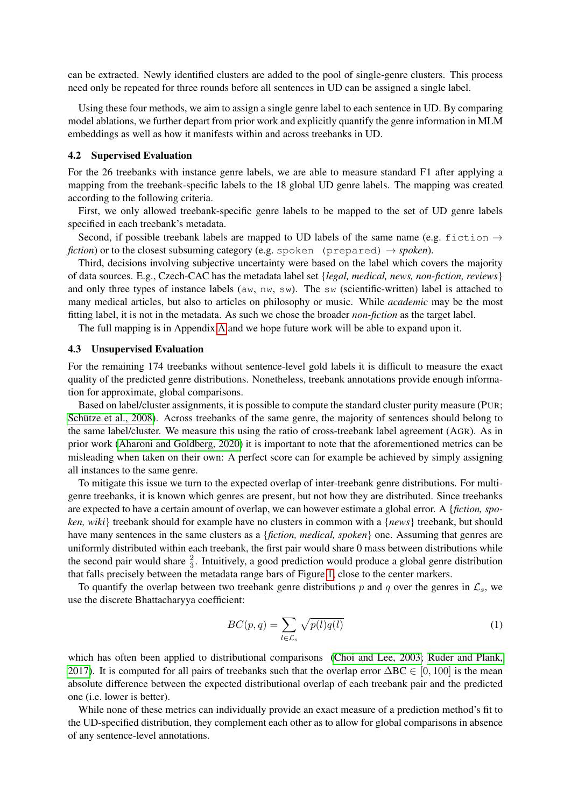can be extracted. Newly identified clusters are added to the pool of single-genre clusters. This process need only be repeated for three rounds before all sentences in UD can be assigned a single label.

Using these four methods, we aim to assign a single genre label to each sentence in UD. By comparing model ablations, we further depart from prior work and explicitly quantify the genre information in MLM embeddings as well as how it manifests within and across treebanks in UD.

#### <span id="page-5-0"></span>4.2 Supervised Evaluation

For the 26 treebanks with instance genre labels, we are able to measure standard F1 after applying a mapping from the treebank-specific labels to the 18 global UD genre labels. The mapping was created according to the following criteria.

First, we only allowed treebank-specific genre labels to be mapped to the set of UD genre labels specified in each treebank's metadata.

Second, if possible treebank labels are mapped to UD labels of the same name (e.g. fiction  $\rightarrow$ *fiction*) or to the closest subsuming category (e.g. spoken (prepared)  $\rightarrow$  *spoken*).

Third, decisions involving subjective uncertainty were based on the label which covers the majority of data sources. E.g., Czech-CAC has the metadata label set {*legal, medical, news, non-fiction, reviews*} and only three types of instance labels ( $aw$ ,  $nw$ ,  $sw$ ). The  $sw$  (scientific-written) label is attached to many medical articles, but also to articles on philosophy or music. While *academic* may be the most fitting label, it is not in the metadata. As such we chose the broader *non-fiction* as the target label.

The full mapping is in Appendix [A](#page-15-0) and we hope future work will be able to expand upon it.

#### <span id="page-5-1"></span>4.3 Unsupervised Evaluation

For the remaining 174 treebanks without sentence-level gold labels it is difficult to measure the exact quality of the predicted genre distributions. Nonetheless, treebank annotations provide enough information for approximate, global comparisons.

Based on label/cluster assignments, it is possible to compute the standard cluster purity measure (PUR; [Schütze et al., 2008\)](#page-12-14). Across treebanks of the same genre, the majority of sentences should belong to the same label/cluster. We measure this using the ratio of cross-treebank label agreement (AGR). As in prior work [\(Aharoni and Goldberg, 2020\)](#page-10-0) it is important to note that the aforementioned metrics can be misleading when taken on their own: A perfect score can for example be achieved by simply assigning all instances to the same genre.

To mitigate this issue we turn to the expected overlap of inter-treebank genre distributions. For multigenre treebanks, it is known which genres are present, but not how they are distributed. Since treebanks are expected to have a certain amount of overlap, we can however estimate a global error. A {*fiction, spoken, wiki*} treebank should for example have no clusters in common with a {*news*} treebank, but should have many sentences in the same clusters as a {*fiction, medical, spoken*} one. Assuming that genres are uniformly distributed within each treebank, the first pair would share 0 mass between distributions while the second pair would share  $\frac{2}{3}$ . Intuitively, a good prediction would produce a global genre distribution that falls precisely between the metadata range bars of Figure [1,](#page-3-1) close to the center markers.

To quantify the overlap between two treebank genre distributions p and q over the genres in  $\mathcal{L}_s$ , we use the discrete Bhattacharyya coefficient:

$$
BC(p,q) = \sum_{l \in \mathcal{L}_s} \sqrt{p(l)q(l)}\tag{1}
$$

which has often been applied to distributional comparisons [\(Choi and Lee, 2003;](#page-10-11) [Ruder and Plank,](#page-12-1) [2017\)](#page-12-1). It is computed for all pairs of treebanks such that the overlap error  $\Delta BC \in [0, 100]$  is the mean absolute difference between the expected distributional overlap of each treebank pair and the predicted one (i.e. lower is better).

While none of these metrics can individually provide an exact measure of a prediction method's fit to the UD-specified distribution, they complement each other as to allow for global comparisons in absence of any sentence-level annotations.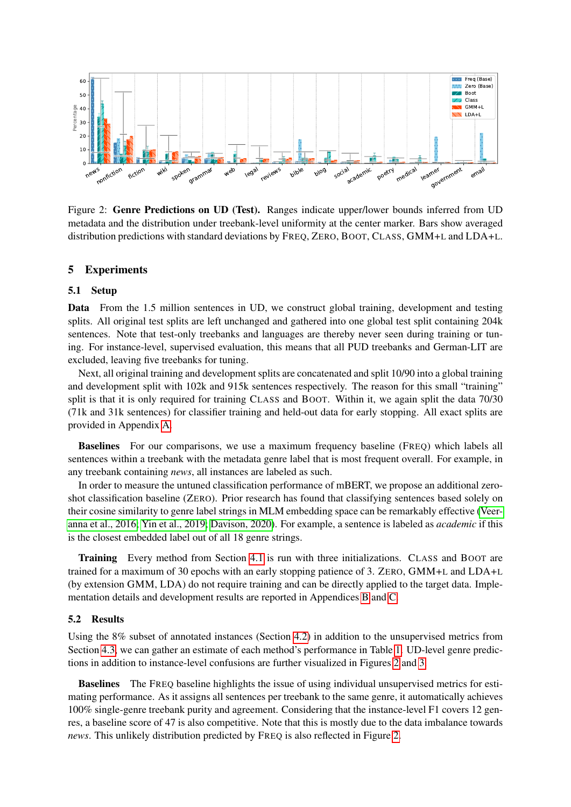<span id="page-6-1"></span>

Figure 2: Genre Predictions on UD (Test). Ranges indicate upper/lower bounds inferred from UD metadata and the distribution under treebank-level uniformity at the center marker. Bars show averaged distribution predictions with standard deviations by FREQ, ZERO, BOOT, CLASS, GMM+L and LDA+L.

### <span id="page-6-0"></span>5 Experiments

### 5.1 Setup

Data From the 1.5 million sentences in UD, we construct global training, development and testing splits. All original test splits are left unchanged and gathered into one global test split containing 204k sentences. Note that test-only treebanks and languages are thereby never seen during training or tuning. For instance-level, supervised evaluation, this means that all PUD treebanks and German-LIT are excluded, leaving five treebanks for tuning.

Next, all original training and development splits are concatenated and split 10/90 into a global training and development split with 102k and 915k sentences respectively. The reason for this small "training" split is that it is only required for training CLASS and BOOT. Within it, we again split the data 70/30 (71k and 31k sentences) for classifier training and held-out data for early stopping. All exact splits are provided in Appendix [A.](#page-15-0)

Baselines For our comparisons, we use a maximum frequency baseline (FREQ) which labels all sentences within a treebank with the metadata genre label that is most frequent overall. For example, in any treebank containing *news*, all instances are labeled as such.

In order to measure the untuned classification performance of mBERT, we propose an additional zeroshot classification baseline (ZERO). Prior research has found that classifying sentences based solely on their cosine similarity to genre label strings in MLM embedding space can be remarkably effective [\(Veer](#page-13-11)[anna et al., 2016;](#page-13-11) [Yin et al., 2019;](#page-13-12) [Davison, 2020\)](#page-10-12). For example, a sentence is labeled as *academic* if this is the closest embedded label out of all 18 genre strings.

Training Every method from Section [4.1](#page-4-1) is run with three initializations. CLASS and BOOT are trained for a maximum of 30 epochs with an early stopping patience of 3. ZERO, GMM+L and LDA+L (by extension GMM, LDA) do not require training and can be directly applied to the target data. Implementation details and development results are reported in Appendices [B](#page-15-1) and [C.](#page-16-0)

#### <span id="page-6-2"></span>5.2 Results

Using the 8% subset of annotated instances (Section [4.2\)](#page-5-0) in addition to the unsupervised metrics from Section [4.3,](#page-5-1) we can gather an estimate of each method's performance in Table [1.](#page-7-0) UD-level genre predictions in addition to instance-level confusions are further visualized in Figures [2](#page-6-1) and [3.](#page-8-0)

Baselines The FREQ baseline highlights the issue of using individual unsupervised metrics for estimating performance. As it assigns all sentences per treebank to the same genre, it automatically achieves 100% single-genre treebank purity and agreement. Considering that the instance-level F1 covers 12 genres, a baseline score of 47 is also competitive. Note that this is mostly due to the data imbalance towards *news*. This unlikely distribution predicted by FREQ is also reflected in Figure [2.](#page-6-1)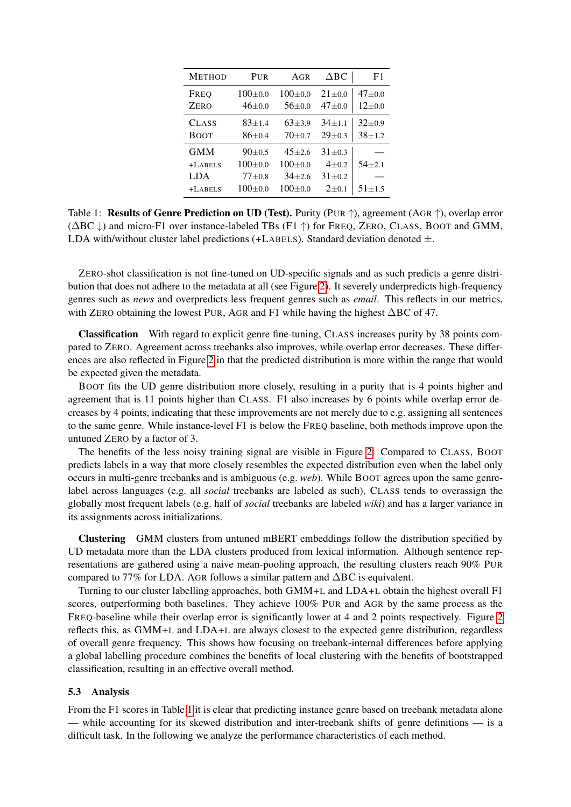<span id="page-7-0"></span>

| <b>METHOD</b> | PUR        | AGR        | $\Delta$ BC | F1           |
|---------------|------------|------------|-------------|--------------|
| FREO          | $100+0.0$  | $100+0.0$  | $21 + 0.0$  | $47 + 0.0$   |
| ZERO          | $46+0.0$   | $56 + 0.0$ | $47 + 0.0$  | $12+0.0$     |
| <b>CLASS</b>  | $83 + 1.4$ | $63 + 3.9$ | $34 + 1.1$  | $32 \pm 0.9$ |
| <b>BOOT</b>   | $86 + 0.4$ | $70+0.7$   | $29 + 0.3$  | $38 + 1.2$   |
| <b>GMM</b>    | $90+0.5$   | $45 + 2.6$ | $31 + 0.3$  |              |
| $+$ LABELS    | $100+0.0$  | $100+0.0$  | $4 + 0.2$   | $54 + 2.1$   |
| <b>LDA</b>    | $77 + 0.8$ | $34 + 2.6$ | $31 + 0.2$  |              |
| $+$ LABELS    | 100+0.0    | $100+0.0$  | $2+0.1$     | $51 \pm 1.5$ |

Table 1: Results of Genre Prediction on UD (Test). Purity (PUR ↑), agreement (AGR ↑), overlap error (∆BC ↓) and micro-F1 over instance-labeled TBs (F1 ↑) for FREQ, ZERO, CLASS, BOOT and GMM, LDA with/without cluster label predictions  $(+LABELS)$ . Standard deviation denoted  $\pm$ .

ZERO-shot classification is not fine-tuned on UD-specific signals and as such predicts a genre distribution that does not adhere to the metadata at all (see Figure [2\)](#page-6-1). It severely underpredicts high-frequency genres such as *news* and overpredicts less frequent genres such as *email*. This reflects in our metrics, with ZERO obtaining the lowest PUR, AGR and F1 while having the highest ∆BC of 47.

Classification With regard to explicit genre fine-tuning, CLASS increases purity by 38 points compared to ZERO. Agreement across treebanks also improves, while overlap error decreases. These differences are also reflected in Figure [2](#page-6-1) in that the predicted distribution is more within the range that would be expected given the metadata.

BOOT fits the UD genre distribution more closely, resulting in a purity that is 4 points higher and agreement that is 11 points higher than CLASS. F1 also increases by 6 points while overlap error decreases by 4 points, indicating that these improvements are not merely due to e.g. assigning all sentences to the same genre. While instance-level F1 is below the FREQ baseline, both methods improve upon the untuned ZERO by a factor of 3.

The benefits of the less noisy training signal are visible in Figure [2:](#page-6-1) Compared to CLASS, BOOT predicts labels in a way that more closely resembles the expected distribution even when the label only occurs in multi-genre treebanks and is ambiguous (e.g. *web*). While BOOT agrees upon the same genrelabel across languages (e.g. all *social* treebanks are labeled as such), CLASS tends to overassign the globally most frequent labels (e.g. half of *social* treebanks are labeled *wiki*) and has a larger variance in its assignments across initializations.

Clustering GMM clusters from untuned mBERT embeddings follow the distribution specified by UD metadata more than the LDA clusters produced from lexical information. Although sentence representations are gathered using a naive mean-pooling approach, the resulting clusters reach 90% PUR compared to 77% for LDA. AGR follows a similar pattern and ∆BC is equivalent.

Turning to our cluster labelling approaches, both GMM+L and LDA+L obtain the highest overall F1 scores, outperforming both baselines. They achieve 100% PUR and AGR by the same process as the FREQ-baseline while their overlap error is significantly lower at 4 and 2 points respectively. Figure [2](#page-6-1) reflects this, as GMM+L and LDA+L are always closest to the expected genre distribution, regardless of overall genre frequency. This shows how focusing on treebank-internal differences before applying a global labelling procedure combines the benefits of local clustering with the benefits of bootstrapped classification, resulting in an effective overall method.

#### <span id="page-7-1"></span>5.3 Analysis

From the F1 scores in Table [1](#page-7-0) it is clear that predicting instance genre based on treebank metadata alone — while accounting for its skewed distribution and inter-treebank shifts of genre definitions — is a difficult task. In the following we analyze the performance characteristics of each method.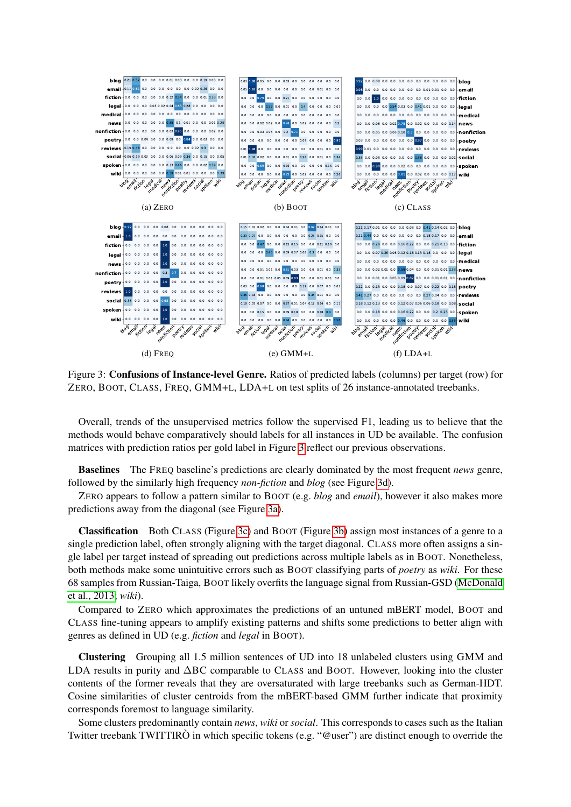<span id="page-8-0"></span>

Figure 3: Confusions of Instance-level Genre. Ratios of predicted labels (columns) per target (row) for ZERO, BOOT, CLASS, FREQ, GMM+L, LDA+L on test splits of 26 instance-annotated treebanks.

Overall, trends of the unsupervised metrics follow the supervised F1, leading us to believe that the methods would behave comparatively should labels for all instances in UD be available. The confusion matrices with prediction ratios per gold label in Figure [3](#page-8-0) reflect our previous observations.

Baselines The FREQ baseline's predictions are clearly dominated by the most frequent *news* genre, followed by the similarly high frequency *non-fiction* and *blog* (see Figure [3d\)](#page-8-0).

ZERO appears to follow a pattern similar to BOOT (e.g. *blog* and *email*), however it also makes more predictions away from the diagonal (see Figure [3a\)](#page-8-0).

Classification Both CLASS (Figure [3c\)](#page-8-0) and BOOT (Figure [3b\)](#page-8-0) assign most instances of a genre to a single prediction label, often strongly aligning with the target diagonal. CLASS more often assigns a single label per target instead of spreading out predictions across multiple labels as in BOOT. Nonetheless, both methods make some unintuitive errors such as BOOT classifying parts of *poetry* as *wiki*. For these 68 samples from Russian-Taiga, BOOT likely overfits the language signal from Russian-GSD [\(McDonald](#page-11-9) [et al., 2013;](#page-11-9) *wiki*).

Compared to ZERO which approximates the predictions of an untuned mBERT model, BOOT and CLASS fine-tuning appears to amplify existing patterns and shifts some predictions to better align with genres as defined in UD (e.g. *fiction* and *legal* in BOOT).

Clustering Grouping all 1.5 million sentences of UD into 18 unlabeled clusters using GMM and LDA results in purity and ∆BC comparable to CLASS and BOOT. However, looking into the cluster contents of the former reveals that they are oversaturated with large treebanks such as German-HDT. Cosine similarities of cluster centroids from the mBERT-based GMM further indicate that proximity corresponds foremost to language similarity.

Some clusters predominantly contain *news*, *wiki* or *social*. This corresponds to cases such as the Italian Twitter treebank TWITTIRÒ in which specific tokens (e.g. "@user") are distinct enough to override the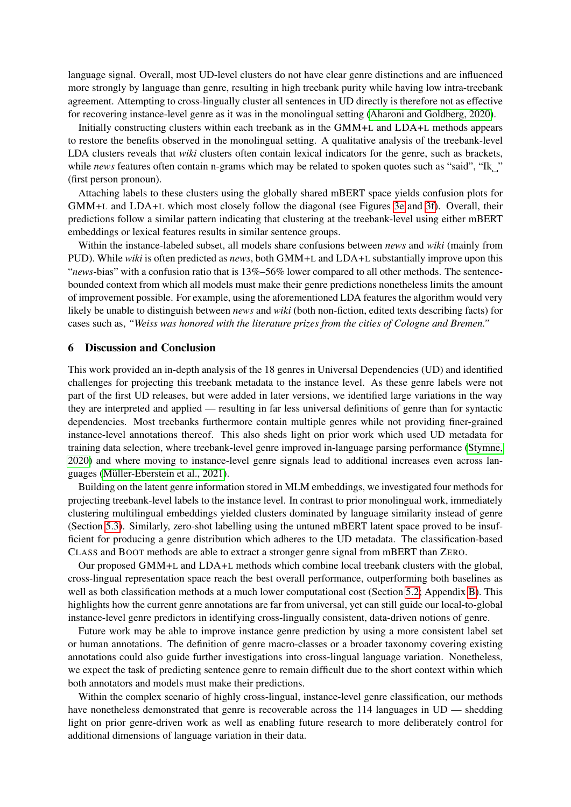language signal. Overall, most UD-level clusters do not have clear genre distinctions and are influenced more strongly by language than genre, resulting in high treebank purity while having low intra-treebank agreement. Attempting to cross-lingually cluster all sentences in UD directly is therefore not as effective for recovering instance-level genre as it was in the monolingual setting [\(Aharoni and Goldberg, 2020\)](#page-10-0).

Initially constructing clusters within each treebank as in the GMM+L and LDA+L methods appears to restore the benefits observed in the monolingual setting. A qualitative analysis of the treebank-level LDA clusters reveals that *wiki* clusters often contain lexical indicators for the genre, such as brackets, while *news* features often contain n-grams which may be related to spoken quotes such as "said", "Ik " (first person pronoun).

Attaching labels to these clusters using the globally shared mBERT space yields confusion plots for GMM+L and LDA+L which most closely follow the diagonal (see Figures [3e](#page-8-0) and [3f\)](#page-8-0). Overall, their predictions follow a similar pattern indicating that clustering at the treebank-level using either mBERT embeddings or lexical features results in similar sentence groups.

Within the instance-labeled subset, all models share confusions between *news* and *wiki* (mainly from PUD). While *wiki* is often predicted as *news*, both GMM+L and LDA+L substantially improve upon this "*news*-bias" with a confusion ratio that is 13%–56% lower compared to all other methods. The sentencebounded context from which all models must make their genre predictions nonetheless limits the amount of improvement possible. For example, using the aforementioned LDA features the algorithm would very likely be unable to distinguish between *news* and *wiki* (both non-fiction, edited texts describing facts) for cases such as, *"Weiss was honored with the literature prizes from the cities of Cologne and Bremen."*

#### 6 Discussion and Conclusion

This work provided an in-depth analysis of the 18 genres in Universal Dependencies (UD) and identified challenges for projecting this treebank metadata to the instance level. As these genre labels were not part of the first UD releases, but were added in later versions, we identified large variations in the way they are interpreted and applied — resulting in far less universal definitions of genre than for syntactic dependencies. Most treebanks furthermore contain multiple genres while not providing finer-grained instance-level annotations thereof. This also sheds light on prior work which used UD metadata for training data selection, where treebank-level genre improved in-language parsing performance [\(Stymne,](#page-13-1) [2020\)](#page-13-1) and where moving to instance-level genre signals lead to additional increases even across languages [\(Müller-Eberstein et al., 2021\)](#page-11-1).

Building on the latent genre information stored in MLM embeddings, we investigated four methods for projecting treebank-level labels to the instance level. In contrast to prior monolingual work, immediately clustering multilingual embeddings yielded clusters dominated by language similarity instead of genre (Section [5.3\)](#page-7-1). Similarly, zero-shot labelling using the untuned mBERT latent space proved to be insufficient for producing a genre distribution which adheres to the UD metadata. The classification-based CLASS and BOOT methods are able to extract a stronger genre signal from mBERT than ZERO.

Our proposed GMM+L and LDA+L methods which combine local treebank clusters with the global, cross-lingual representation space reach the best overall performance, outperforming both baselines as well as both classification methods at a much lower computational cost (Section [5.2;](#page-6-2) Appendix [B\)](#page-15-1). This highlights how the current genre annotations are far from universal, yet can still guide our local-to-global instance-level genre predictors in identifying cross-lingually consistent, data-driven notions of genre.

Future work may be able to improve instance genre prediction by using a more consistent label set or human annotations. The definition of genre macro-classes or a broader taxonomy covering existing annotations could also guide further investigations into cross-lingual language variation. Nonetheless, we expect the task of predicting sentence genre to remain difficult due to the short context within which both annotators and models must make their predictions.

Within the complex scenario of highly cross-lingual, instance-level genre classification, our methods have nonetheless demonstrated that genre is recoverable across the 114 languages in UD — shedding light on prior genre-driven work as well as enabling future research to more deliberately control for additional dimensions of language variation in their data.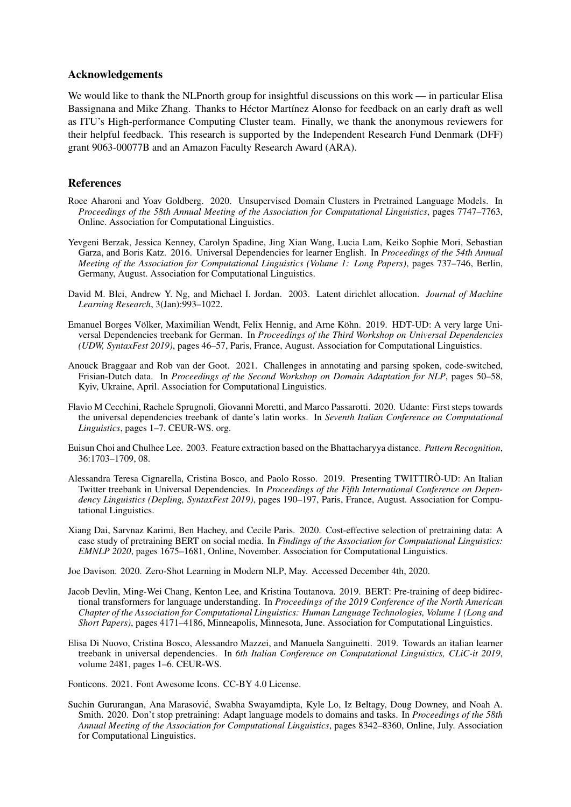## Acknowledgements

We would like to thank the NLPnorth group for insightful discussions on this work — in particular Elisa Bassignana and Mike Zhang. Thanks to Héctor Martínez Alonso for feedback on an early draft as well as ITU's High-performance Computing Cluster team. Finally, we thank the anonymous reviewers for their helpful feedback. This research is supported by the Independent Research Fund Denmark (DFF) grant 9063-00077B and an Amazon Faculty Research Award (ARA).

## References

- <span id="page-10-0"></span>Roee Aharoni and Yoav Goldberg. 2020. Unsupervised Domain Clusters in Pretrained Language Models. In *Proceedings of the 58th Annual Meeting of the Association for Computational Linguistics*, pages 7747–7763, Online. Association for Computational Linguistics.
- <span id="page-10-5"></span>Yevgeni Berzak, Jessica Kenney, Carolyn Spadine, Jing Xian Wang, Lucia Lam, Keiko Sophie Mori, Sebastian Garza, and Boris Katz. 2016. Universal Dependencies for learner English. In *Proceedings of the 54th Annual Meeting of the Association for Computational Linguistics (Volume 1: Long Papers)*, pages 737–746, Berlin, Germany, August. Association for Computational Linguistics.
- <span id="page-10-10"></span>David M. Blei, Andrew Y. Ng, and Michael I. Jordan. 2003. Latent dirichlet allocation. *Journal of Machine Learning Research*, 3(Jan):993–1022.
- <span id="page-10-7"></span>Emanuel Borges Völker, Maximilian Wendt, Felix Hennig, and Arne Köhn. 2019. HDT-UD: A very large Universal Dependencies treebank for German. In *Proceedings of the Third Workshop on Universal Dependencies (UDW, SyntaxFest 2019)*, pages 46–57, Paris, France, August. Association for Computational Linguistics.
- <span id="page-10-9"></span>Anouck Braggaar and Rob van der Goot. 2021. Challenges in annotating and parsing spoken, code-switched, Frisian-Dutch data. In *Proceedings of the Second Workshop on Domain Adaptation for NLP*, pages 50–58, Kyiv, Ukraine, April. Association for Computational Linguistics.
- <span id="page-10-4"></span>Flavio M Cecchini, Rachele Sprugnoli, Giovanni Moretti, and Marco Passarotti. 2020. Udante: First steps towards the universal dependencies treebank of dante's latin works. In *Seventh Italian Conference on Computational Linguistics*, pages 1–7. CEUR-WS. org.
- <span id="page-10-11"></span>Euisun Choi and Chulhee Lee. 2003. Feature extraction based on the Bhattacharyya distance. *Pattern Recognition*, 36:1703–1709, 08.
- <span id="page-10-8"></span>Alessandra Teresa Cignarella, Cristina Bosco, and Paolo Rosso. 2019. Presenting TWITTIRÒ-UD: An Italian Twitter treebank in Universal Dependencies. In *Proceedings of the Fifth International Conference on Dependency Linguistics (Depling, SyntaxFest 2019)*, pages 190–197, Paris, France, August. Association for Computational Linguistics.
- <span id="page-10-2"></span>Xiang Dai, Sarvnaz Karimi, Ben Hachey, and Cecile Paris. 2020. Cost-effective selection of pretraining data: A case study of pretraining BERT on social media. In *Findings of the Association for Computational Linguistics: EMNLP 2020*, pages 1675–1681, Online, November. Association for Computational Linguistics.

<span id="page-10-12"></span>Joe Davison. 2020. Zero-Shot Learning in Modern NLP, May. Accessed December 4th, 2020.

- <span id="page-10-1"></span>Jacob Devlin, Ming-Wei Chang, Kenton Lee, and Kristina Toutanova. 2019. BERT: Pre-training of deep bidirectional transformers for language understanding. In *Proceedings of the 2019 Conference of the North American Chapter of the Association for Computational Linguistics: Human Language Technologies, Volume 1 (Long and Short Papers)*, pages 4171–4186, Minneapolis, Minnesota, June. Association for Computational Linguistics.
- <span id="page-10-6"></span>Elisa Di Nuovo, Cristina Bosco, Alessandro Mazzei, and Manuela Sanguinetti. 2019. Towards an italian learner treebank in universal dependencies. In *6th Italian Conference on Computational Linguistics, CLiC-it 2019*, volume 2481, pages 1–6. CEUR-WS.

Fonticons. 2021. Font Awesome Icons. CC-BY 4.0 License.

<span id="page-10-3"></span>Suchin Gururangan, Ana Marasovic, Swabha Swayamdipta, Kyle Lo, Iz Beltagy, Doug Downey, and Noah A. ´ Smith. 2020. Don't stop pretraining: Adapt language models to domains and tasks. In *Proceedings of the 58th Annual Meeting of the Association for Computational Linguistics*, pages 8342–8360, Online, July. Association for Computational Linguistics.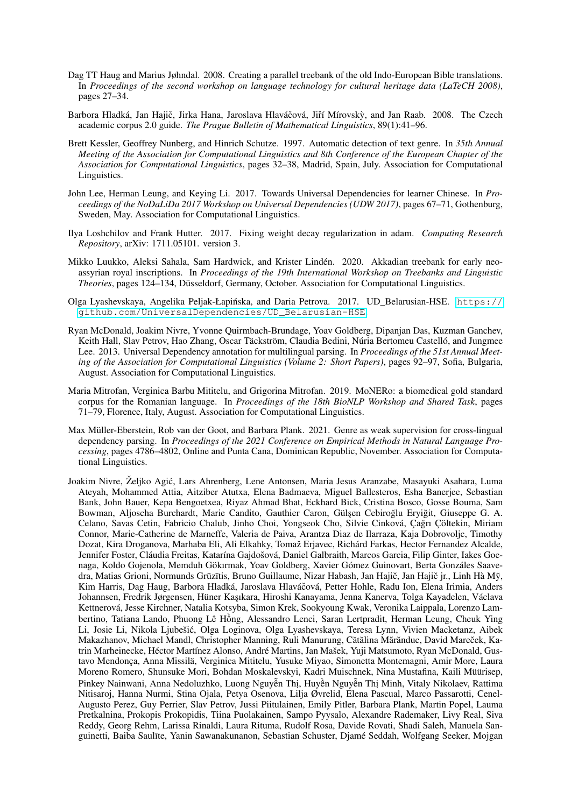- <span id="page-11-2"></span>Dag TT Haug and Marius Jøhndal. 2008. Creating a parallel treebank of the old Indo-European Bible translations. In *Proceedings of the second workshop on language technology for cultural heritage data (LaTeCH 2008)*, pages 27–34.
- <span id="page-11-6"></span>Barbora Hladká, Jan Hajič, Jirka Hana, Jaroslava Hlaváčová, Jiří Mírovský, and Jan Raab. 2008. The Czech academic corpus 2.0 guide. *The Prague Bulletin of Mathematical Linguistics*, 89(1):41–96.
- <span id="page-11-0"></span>Brett Kessler, Geoffrey Nunberg, and Hinrich Schutze. 1997. Automatic detection of text genre. In *35th Annual Meeting of the Association for Computational Linguistics and 8th Conference of the European Chapter of the Association for Computational Linguistics*, pages 32–38, Madrid, Spain, July. Association for Computational Linguistics.
- <span id="page-11-4"></span>John Lee, Herman Leung, and Keying Li. 2017. Towards Universal Dependencies for learner Chinese. In *Proceedings of the NoDaLiDa 2017 Workshop on Universal Dependencies (UDW 2017)*, pages 67–71, Gothenburg, Sweden, May. Association for Computational Linguistics.
- <span id="page-11-10"></span>Ilya Loshchilov and Frank Hutter. 2017. Fixing weight decay regularization in adam. *Computing Research Repository*, arXiv: 1711.05101. version 3.
- <span id="page-11-3"></span>Mikko Luukko, Aleksi Sahala, Sam Hardwick, and Krister Lindén. 2020. Akkadian treebank for early neoassyrian royal inscriptions. In *Proceedings of the 19th International Workshop on Treebanks and Linguistic Theories*, pages 124–134, Düsseldorf, Germany, October. Association for Computational Linguistics.
- <span id="page-11-8"></span>Olga Lyashevskaya, Angelika Peljak-Łapińska, and Daria Petrova. 2017. UD\_Belarusian-HSE. [https://](https://github.com/UniversalDependencies/UD_Belarusian-HSE) [github.com/UniversalDependencies/UD\\_Belarusian-HSE](https://github.com/UniversalDependencies/UD_Belarusian-HSE).
- <span id="page-11-9"></span>Ryan McDonald, Joakim Nivre, Yvonne Quirmbach-Brundage, Yoav Goldberg, Dipanjan Das, Kuzman Ganchev, Keith Hall, Slav Petrov, Hao Zhang, Oscar Täckström, Claudia Bedini, Núria Bertomeu Castelló, and Jungmee Lee. 2013. Universal Dependency annotation for multilingual parsing. In *Proceedings of the 51st Annual Meeting of the Association for Computational Linguistics (Volume 2: Short Papers)*, pages 92–97, Sofia, Bulgaria, August. Association for Computational Linguistics.
- <span id="page-11-5"></span>Maria Mitrofan, Verginica Barbu Mititelu, and Grigorina Mitrofan. 2019. MoNERo: a biomedical gold standard corpus for the Romanian language. In *Proceedings of the 18th BioNLP Workshop and Shared Task*, pages 71–79, Florence, Italy, August. Association for Computational Linguistics.
- <span id="page-11-1"></span>Max Müller-Eberstein, Rob van der Goot, and Barbara Plank. 2021. Genre as weak supervision for cross-lingual dependency parsing. In *Proceedings of the 2021 Conference on Empirical Methods in Natural Language Processing*, pages 4786–4802, Online and Punta Cana, Dominican Republic, November. Association for Computational Linguistics.
- <span id="page-11-7"></span>Joakim Nivre, Željko Agic, Lars Ahrenberg, Lene Antonsen, Maria Jesus Aranzabe, Masayuki Asahara, Luma ´ Ateyah, Mohammed Attia, Aitziber Atutxa, Elena Badmaeva, Miguel Ballesteros, Esha Banerjee, Sebastian Bank, John Bauer, Kepa Bengoetxea, Riyaz Ahmad Bhat, Eckhard Bick, Cristina Bosco, Gosse Bouma, Sam Bowman, Aljoscha Burchardt, Marie Candito, Gauthier Caron, Gülşen Cebiroğlu Eryiğit, Giuseppe G. A. Celano, Savas Cetin, Fabricio Chalub, Jinho Choi, Yongseok Cho, Silvie Cinková, Çagrı Çöltekin, Miriam ˘ Connor, Marie-Catherine de Marneffe, Valeria de Paiva, Arantza Diaz de Ilarraza, Kaja Dobrovoljc, Timothy Dozat, Kira Droganova, Marhaba Eli, Ali Elkahky, Tomaž Erjavec, Richárd Farkas, Hector Fernandez Alcalde, Jennifer Foster, Cláudia Freitas, Katarína Gajdošová, Daniel Galbraith, Marcos Garcia, Filip Ginter, Iakes Goenaga, Koldo Gojenola, Memduh Gökırmak, Yoav Goldberg, Xavier Gómez Guinovart, Berta Gonzáles Saavedra, Matias Grioni, Normunds Grūzītis, Bruno Guillaume, Nizar Habash, Jan Hajič, Jan Hajič jr., Linh Hà Mỹ, Kim Harris, Dag Haug, Barbora Hladká, Jaroslava Hlaváčová, Petter Hohle, Radu Ion, Elena Irimia, Anders Johannsen, Fredrik Jørgensen, Hüner Kaşıkara, Hiroshi Kanayama, Jenna Kanerva, Tolga Kayadelen, Václava Kettnerová, Jesse Kirchner, Natalia Kotsyba, Simon Krek, Sookyoung Kwak, Veronika Laippala, Lorenzo Lambertino, Tatiana Lando, Phuong Lê Hông, Alessandro Lenci, Saran Lertpradit, Herman Leung, Cheuk Ying ` Li, Josie Li, Nikola Ljubešic, Olga Loginova, Olga Lyashevskaya, Teresa Lynn, Vivien Macketanz, Aibek ´ Makazhanov, Michael Mandl, Christopher Manning, Ruli Manurung, Cătălina Mărănduc, David Mareček, Katrin Marheinecke, Héctor Martínez Alonso, André Martins, Jan Mašek, Yuji Matsumoto, Ryan McDonald, Gustavo Mendonça, Anna Missilä, Verginica Mititelu, Yusuke Miyao, Simonetta Montemagni, Amir More, Laura Moreno Romero, Shunsuke Mori, Bohdan Moskalevskyi, Kadri Muischnek, Nina Mustafina, Kaili Müürisep, Pinkey Nainwani, Anna Nedoluzhko, Luong Nguyễn Thị, Huyền Nguyễn Thị Minh, Vitaly Nikolaev, Rattima Nitisaroj, Hanna Nurmi, Stina Ojala, Petya Osenova, Lilja Øvrelid, Elena Pascual, Marco Passarotti, Cenel-Augusto Perez, Guy Perrier, Slav Petrov, Jussi Piitulainen, Emily Pitler, Barbara Plank, Martin Popel, Lauma Pretkalnina, Prokopis Prokopidis, Tiina Puolakainen, Sampo Pyysalo, Alexandre Rademaker, Livy Real, Siva Reddy, Georg Rehm, Larissa Rinaldi, Laura Rituma, Rudolf Rosa, Davide Rovati, Shadi Saleh, Manuela Sanguinetti, Baiba Saulīte, Yanin Sawanakunanon, Sebastian Schuster, Djamé Seddah, Wolfgang Seeker, Mojgan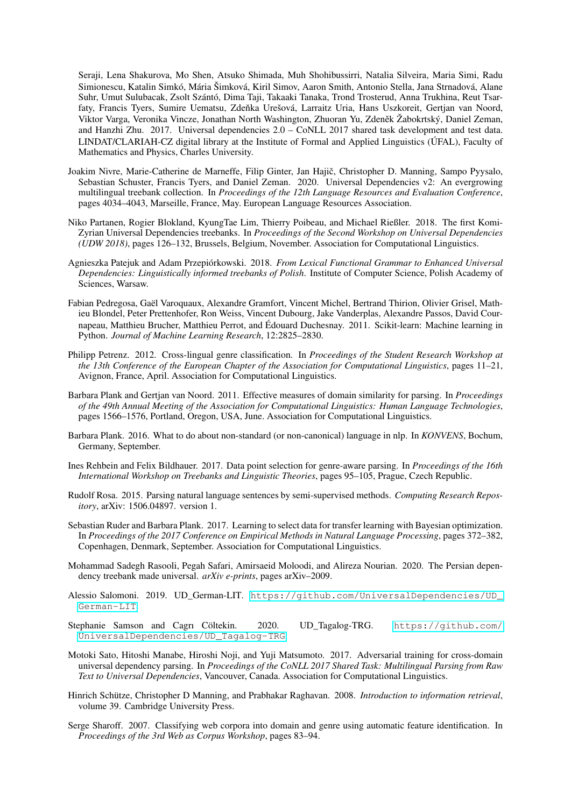Seraji, Lena Shakurova, Mo Shen, Atsuko Shimada, Muh Shohibussirri, Natalia Silveira, Maria Simi, Radu Simionescu, Katalin Simkó, Mária Šimková, Kiril Simov, Aaron Smith, Antonio Stella, Jana Strnadová, Alane Suhr, Umut Sulubacak, Zsolt Szántó, Dima Taji, Takaaki Tanaka, Trond Trosterud, Anna Trukhina, Reut Tsarfaty, Francis Tyers, Sumire Uematsu, Zdeňka Urešová, Larraitz Uria, Hans Uszkoreit, Gertjan van Noord, Viktor Varga, Veronika Vincze, Jonathan North Washington, Zhuoran Yu, Zdeněk Žabokrtský, Daniel Zeman, and Hanzhi Zhu. 2017. Universal dependencies 2.0 – CoNLL 2017 shared task development and test data. LINDAT/CLARIAH-CZ digital library at the Institute of Formal and Applied Linguistics (ÚFAL), Faculty of Mathematics and Physics, Charles University.

- <span id="page-12-8"></span>Joakim Nivre, Marie-Catherine de Marneffe, Filip Ginter, Jan Hajič, Christopher D. Manning, Sampo Pyysalo, Sebastian Schuster, Francis Tyers, and Daniel Zeman. 2020. Universal Dependencies v2: An evergrowing multilingual treebank collection. In *Proceedings of the 12th Language Resources and Evaluation Conference*, pages 4034–4043, Marseille, France, May. European Language Resources Association.
- <span id="page-12-11"></span>Niko Partanen, Rogier Blokland, KyungTae Lim, Thierry Poibeau, and Michael Rießler. 2018. The first Komi-Zyrian Universal Dependencies treebanks. In *Proceedings of the Second Workshop on Universal Dependencies (UDW 2018)*, pages 126–132, Brussels, Belgium, November. Association for Computational Linguistics.
- <span id="page-12-13"></span>Agnieszka Patejuk and Adam Przepiórkowski. 2018. *From Lexical Functional Grammar to Enhanced Universal Dependencies: Linguistically informed treebanks of Polish*. Institute of Computer Science, Polish Academy of Sciences, Warsaw.
- <span id="page-12-15"></span>Fabian Pedregosa, Gaël Varoquaux, Alexandre Gramfort, Vincent Michel, Bertrand Thirion, Olivier Grisel, Mathieu Blondel, Peter Prettenhofer, Ron Weiss, Vincent Dubourg, Jake Vanderplas, Alexandre Passos, David Cournapeau, Matthieu Brucher, Matthieu Perrot, and Édouard Duchesnay. 2011. Scikit-learn: Machine learning in Python. *Journal of Machine Learning Research*, 12:2825–2830.
- <span id="page-12-0"></span>Philipp Petrenz. 2012. Cross-lingual genre classification. In *Proceedings of the Student Research Workshop at the 13th Conference of the European Chapter of the Association for Computational Linguistics*, pages 11–21, Avignon, France, April. Association for Computational Linguistics.
- <span id="page-12-5"></span>Barbara Plank and Gertjan van Noord. 2011. Effective measures of domain similarity for parsing. In *Proceedings of the 49th Annual Meeting of the Association for Computational Linguistics: Human Language Technologies*, pages 1566–1576, Portland, Oregon, USA, June. Association for Computational Linguistics.
- <span id="page-12-3"></span>Barbara Plank. 2016. What to do about non-standard (or non-canonical) language in nlp. In *KONVENS*, Bochum, Germany, September.
- <span id="page-12-6"></span>Ines Rehbein and Felix Bildhauer. 2017. Data point selection for genre-aware parsing. In *Proceedings of the 16th International Workshop on Treebanks and Linguistic Theories*, pages 95–105, Prague, Czech Republic.
- <span id="page-12-7"></span>Rudolf Rosa. 2015. Parsing natural language sentences by semi-supervised methods. *Computing Research Repository*, arXiv: 1506.04897. version 1.
- <span id="page-12-1"></span>Sebastian Ruder and Barbara Plank. 2017. Learning to select data for transfer learning with Bayesian optimization. In *Proceedings of the 2017 Conference on Empirical Methods in Natural Language Processing*, pages 372–382, Copenhagen, Denmark, September. Association for Computational Linguistics.
- <span id="page-12-12"></span>Mohammad Sadegh Rasooli, Pegah Safari, Amirsaeid Moloodi, and Alireza Nourian. 2020. The Persian dependency treebank made universal. *arXiv e-prints*, pages arXiv–2009.
- <span id="page-12-10"></span>Alessio Salomoni. 2019. UD\_German-LIT. [https://github.com/UniversalDependencies/UD\\_](https://github.com/UniversalDependencies/UD_German-LIT) [German-LIT](https://github.com/UniversalDependencies/UD_German-LIT).
- <span id="page-12-9"></span>Stephanie Samson and Cagrı Cöltekin. 2020. UD\_Tagalog-TRG. [https://github.com/](https://github.com/UniversalDependencies/UD_Tagalog-TRG) [UniversalDependencies/UD\\_Tagalog-TRG](https://github.com/UniversalDependencies/UD_Tagalog-TRG).
- <span id="page-12-2"></span>Motoki Sato, Hitoshi Manabe, Hiroshi Noji, and Yuji Matsumoto. 2017. Adversarial training for cross-domain universal dependency parsing. In *Proceedings of the CoNLL 2017 Shared Task: Multilingual Parsing from Raw Text to Universal Dependencies*, Vancouver, Canada. Association for Computational Linguistics.
- <span id="page-12-14"></span>Hinrich Schütze, Christopher D Manning, and Prabhakar Raghavan. 2008. *Introduction to information retrieval*, volume 39. Cambridge University Press.
- <span id="page-12-4"></span>Serge Sharoff. 2007. Classifying web corpora into domain and genre using automatic feature identification. In *Proceedings of the 3rd Web as Corpus Workshop*, pages 83–94.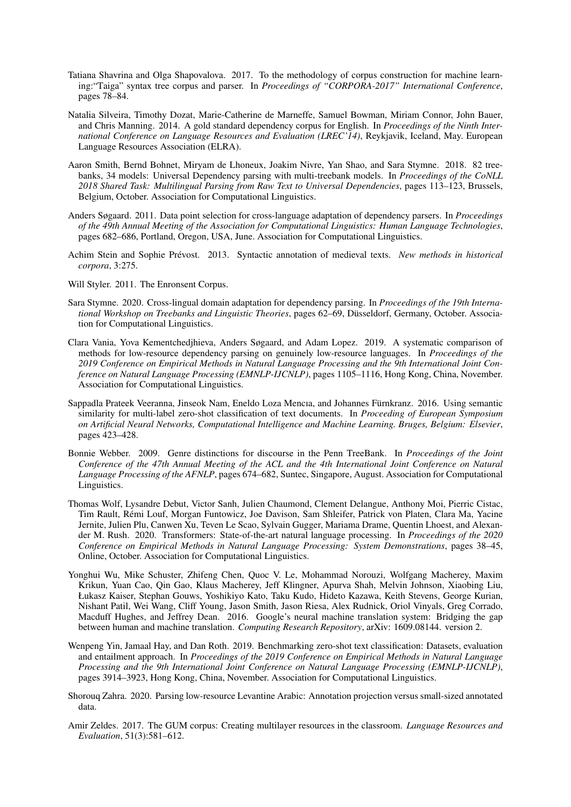- <span id="page-13-5"></span>Tatiana Shavrina and Olga Shapovalova. 2017. To the methodology of corpus construction for machine learning:"Taiga" syntax tree corpus and parser. In *Proceedings of "CORPORA-2017" International Conference*, pages 78–84.
- <span id="page-13-6"></span>Natalia Silveira, Timothy Dozat, Marie-Catherine de Marneffe, Samuel Bowman, Miriam Connor, John Bauer, and Chris Manning. 2014. A gold standard dependency corpus for English. In *Proceedings of the Ninth International Conference on Language Resources and Evaluation (LREC'14)*, Reykjavik, Iceland, May. European Language Resources Association (ELRA).
- <span id="page-13-4"></span>Aaron Smith, Bernd Bohnet, Miryam de Lhoneux, Joakim Nivre, Yan Shao, and Sara Stymne. 2018. 82 treebanks, 34 models: Universal Dependency parsing with multi-treebank models. In *Proceedings of the CoNLL 2018 Shared Task: Multilingual Parsing from Raw Text to Universal Dependencies*, pages 113–123, Brussels, Belgium, October. Association for Computational Linguistics.
- <span id="page-13-2"></span>Anders Søgaard. 2011. Data point selection for cross-language adaptation of dependency parsers. In *Proceedings of the 49th Annual Meeting of the Association for Computational Linguistics: Human Language Technologies*, pages 682–686, Portland, Oregon, USA, June. Association for Computational Linguistics.
- <span id="page-13-9"></span>Achim Stein and Sophie Prévost. 2013. Syntactic annotation of medieval texts. *New methods in historical corpora*, 3:275.
- <span id="page-13-7"></span>Will Styler. 2011. The Enronsent Corpus.
- <span id="page-13-1"></span>Sara Stymne. 2020. Cross-lingual domain adaptation for dependency parsing. In *Proceedings of the 19th International Workshop on Treebanks and Linguistic Theories*, pages 62–69, Düsseldorf, Germany, October. Association for Computational Linguistics.
- <span id="page-13-3"></span>Clara Vania, Yova Kementchedjhieva, Anders Søgaard, and Adam Lopez. 2019. A systematic comparison of methods for low-resource dependency parsing on genuinely low-resource languages. In *Proceedings of the 2019 Conference on Empirical Methods in Natural Language Processing and the 9th International Joint Conference on Natural Language Processing (EMNLP-IJCNLP)*, pages 1105–1116, Hong Kong, China, November. Association for Computational Linguistics.
- <span id="page-13-11"></span>Sappadla Prateek Veeranna, Jinseok Nam, Eneldo Loza Mencıa, and Johannes Fürnkranz. 2016. Using semantic similarity for multi-label zero-shot classification of text documents. In *Proceeding of European Symposium on Artificial Neural Networks, Computational Intelligence and Machine Learning. Bruges, Belgium: Elsevier*, pages 423–428.
- <span id="page-13-0"></span>Bonnie Webber. 2009. Genre distinctions for discourse in the Penn TreeBank. In *Proceedings of the Joint Conference of the 47th Annual Meeting of the ACL and the 4th International Joint Conference on Natural Language Processing of the AFNLP*, pages 674–682, Suntec, Singapore, August. Association for Computational Linguistics.
- <span id="page-13-13"></span>Thomas Wolf, Lysandre Debut, Victor Sanh, Julien Chaumond, Clement Delangue, Anthony Moi, Pierric Cistac, Tim Rault, Rémi Louf, Morgan Funtowicz, Joe Davison, Sam Shleifer, Patrick von Platen, Clara Ma, Yacine Jernite, Julien Plu, Canwen Xu, Teven Le Scao, Sylvain Gugger, Mariama Drame, Quentin Lhoest, and Alexander M. Rush. 2020. Transformers: State-of-the-art natural language processing. In *Proceedings of the 2020 Conference on Empirical Methods in Natural Language Processing: System Demonstrations*, pages 38–45, Online, October. Association for Computational Linguistics.
- <span id="page-13-14"></span>Yonghui Wu, Mike Schuster, Zhifeng Chen, Quoc V. Le, Mohammad Norouzi, Wolfgang Macherey, Maxim Krikun, Yuan Cao, Qin Gao, Klaus Macherey, Jeff Klingner, Apurva Shah, Melvin Johnson, Xiaobing Liu, Łukasz Kaiser, Stephan Gouws, Yoshikiyo Kato, Taku Kudo, Hideto Kazawa, Keith Stevens, George Kurian, Nishant Patil, Wei Wang, Cliff Young, Jason Smith, Jason Riesa, Alex Rudnick, Oriol Vinyals, Greg Corrado, Macduff Hughes, and Jeffrey Dean. 2016. Google's neural machine translation system: Bridging the gap between human and machine translation. *Computing Research Repository*, arXiv: 1609.08144. version 2.
- <span id="page-13-12"></span>Wenpeng Yin, Jamaal Hay, and Dan Roth. 2019. Benchmarking zero-shot text classification: Datasets, evaluation and entailment approach. In *Proceedings of the 2019 Conference on Empirical Methods in Natural Language Processing and the 9th International Joint Conference on Natural Language Processing (EMNLP-IJCNLP)*, pages 3914–3923, Hong Kong, China, November. Association for Computational Linguistics.
- <span id="page-13-10"></span>Shorouq Zahra. 2020. Parsing low-resource Levantine Arabic: Annotation projection versus small-sized annotated data.
- <span id="page-13-8"></span>Amir Zeldes. 2017. The GUM corpus: Creating multilayer resources in the classroom. *Language Resources and Evaluation*, 51(3):581–612.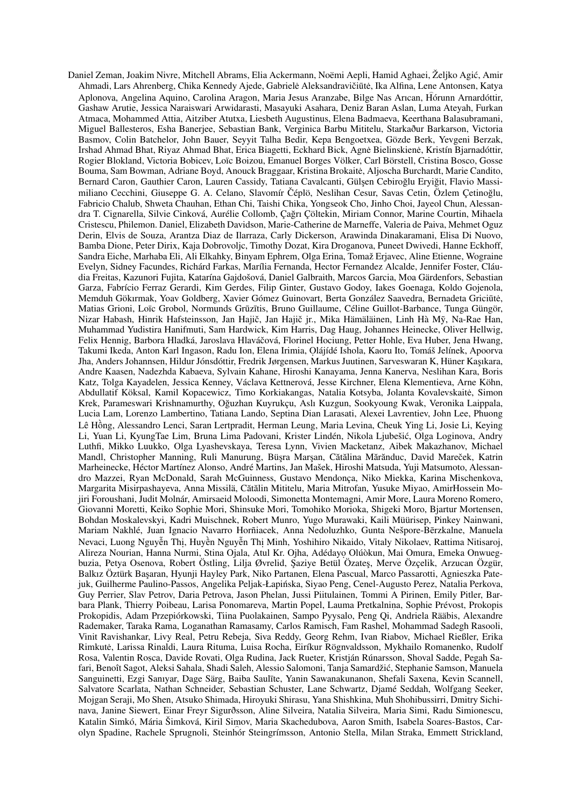<span id="page-14-0"></span>Daniel Zeman, Joakim Nivre, Mitchell Abrams, Elia Ackermann, Noëmi Aepli, Hamid Aghaei, Željko Agic, Amir ´ Ahmadi, Lars Ahrenberg, Chika Kennedy Ajede, Gabrielė Aleksandravičiūtė, Ika Alfina, Lene Antonsen, Katya Aplonova, Angelina Aquino, Carolina Aragon, Maria Jesus Aranzabe, Bilge Nas Arıcan, Hórunn Arnardóttir, Gashaw Arutie, Jessica Naraiswari Arwidarasti, Masayuki Asahara, Deniz Baran Aslan, Luma Ateyah, Furkan Atmaca, Mohammed Attia, Aitziber Atutxa, Liesbeth Augustinus, Elena Badmaeva, Keerthana Balasubramani, Miguel Ballesteros, Esha Banerjee, Sebastian Bank, Verginica Barbu Mititelu, Starkaður Barkarson, Victoria Basmov, Colin Batchelor, John Bauer, Seyyit Talha Bedir, Kepa Bengoetxea, Gözde Berk, Yevgeni Berzak, Irshad Ahmad Bhat, Riyaz Ahmad Bhat, Erica Biagetti, Eckhard Bick, Agne Bielinskiene, Kristín Bjarnadóttir, Rogier Blokland, Victoria Bobicev, Loïc Boizou, Emanuel Borges Völker, Carl Börstell, Cristina Bosco, Gosse Bouma, Sam Bowman, Adriane Boyd, Anouck Braggaar, Kristina Brokaite, Aljoscha Burchardt, Marie Candito, ˙ Bernard Caron, Gauthier Caron, Lauren Cassidy, Tatiana Cavalcanti, Gülşen Cebiroğlu Eryiğit, Flavio Massimiliano Cecchini, Giuseppe G. A. Celano, Slavomír Čéplö, Neslihan Cesur, Savas Cetin, Özlem Çetinoğlu, Fabricio Chalub, Shweta Chauhan, Ethan Chi, Taishi Chika, Yongseok Cho, Jinho Choi, Jayeol Chun, Alessandra T. Cignarella, Silvie Cinková, Aurélie Collomb, Çagrı Çöltekin, Miriam Connor, Marine Courtin, Mihaela ˘ Cristescu, Philemon. Daniel, Elizabeth Davidson, Marie-Catherine de Marneffe, Valeria de Paiva, Mehmet Oguz Derin, Elvis de Souza, Arantza Diaz de Ilarraza, Carly Dickerson, Arawinda Dinakaramani, Elisa Di Nuovo, Bamba Dione, Peter Dirix, Kaja Dobrovoljc, Timothy Dozat, Kira Droganova, Puneet Dwivedi, Hanne Eckhoff, Sandra Eiche, Marhaba Eli, Ali Elkahky, Binyam Ephrem, Olga Erina, Tomaž Erjavec, Aline Etienne, Wograine Evelyn, Sidney Facundes, Richárd Farkas, Marília Fernanda, Hector Fernandez Alcalde, Jennifer Foster, Cláudia Freitas, Kazunori Fujita, Katarína Gajdošová, Daniel Galbraith, Marcos Garcia, Moa Gärdenfors, Sebastian Garza, Fabrício Ferraz Gerardi, Kim Gerdes, Filip Ginter, Gustavo Godoy, Iakes Goenaga, Koldo Gojenola, Memduh Gökırmak, Yoav Goldberg, Xavier Gómez Guinovart, Berta González Saavedra, Bernadeta Griciūtė, Matias Grioni, Loïc Grobol, Normunds Grūzītis, Bruno Guillaume, Céline Guillot-Barbance, Tunga Güngör, Nizar Habash, Hinrik Hafsteinsson, Jan Hajič, Jan Hajič jr., Mika Hämäläinen, Linh Hà Mỹ, Na-Rae Han, Muhammad Yudistira Hanifmuti, Sam Hardwick, Kim Harris, Dag Haug, Johannes Heinecke, Oliver Hellwig, Felix Hennig, Barbora Hladká, Jaroslava Hlaváčová, Florinel Hociung, Petter Hohle, Eva Huber, Jena Hwang, Takumi Ikeda, Anton Karl Ingason, Radu Ion, Elena Irimia, Olájídé Ishola, Kaoru Ito, Tomáš Jelínek, Apoorva Jha, Anders Johannsen, Hildur Jónsdóttir, Fredrik Jørgensen, Markus Juutinen, Sarveswaran K, Hüner Kaşıkara, Andre Kaasen, Nadezhda Kabaeva, Sylvain Kahane, Hiroshi Kanayama, Jenna Kanerva, Neslihan Kara, Boris Katz, Tolga Kayadelen, Jessica Kenney, Václava Kettnerová, Jesse Kirchner, Elena Klementieva, Arne Köhn, Abdullatif Köksal, Kamil Kopacewicz, Timo Korkiakangas, Natalia Kotsyba, Jolanta Kovalevskaite, Simon ˙ Krek, Parameswari Krishnamurthy, Oguzhan Kuyrukçu, Aslı Kuzgun, Sookyoung Kwak, Veronika Laippala, ˘ Lucia Lam, Lorenzo Lambertino, Tatiana Lando, Septina Dian Larasati, Alexei Lavrentiev, John Lee, Phuong Lê Hông, Alessandro Lenci, Saran Lertpradit, Herman Leung, Maria Levina, Cheuk Ying Li, Josie Li, Keying ` Li, Yuan Li, KyungTae Lim, Bruna Lima Padovani, Krister Lindén, Nikola Ljubešic, Olga Loginova, Andry ´ Luthfi, Mikko Luukko, Olga Lyashevskaya, Teresa Lynn, Vivien Macketanz, Aibek Makazhanov, Michael Mandl, Christopher Manning, Ruli Manurung, Büsra Marsan, Cătălina Mărănduc, David Mareček, Katrin Marheinecke, Héctor Martínez Alonso, André Martins, Jan Mašek, Hiroshi Matsuda, Yuji Matsumoto, Alessandro Mazzei, Ryan McDonald, Sarah McGuinness, Gustavo Mendonça, Niko Miekka, Karina Mischenkova, Margarita Misirpashayeva, Anna Missilä, Cătălin Mititelu, Maria Mitrofan, Yusuke Miyao, AmirHossein Mojiri Foroushani, Judit Molnár, Amirsaeid Moloodi, Simonetta Montemagni, Amir More, Laura Moreno Romero, Giovanni Moretti, Keiko Sophie Mori, Shinsuke Mori, Tomohiko Morioka, Shigeki Moro, Bjartur Mortensen, Bohdan Moskalevskyi, Kadri Muischnek, Robert Munro, Yugo Murawaki, Kaili Müürisep, Pinkey Nainwani, Mariam Nakhlé, Juan Ignacio Navarro Horñiacek, Anna Nedoluzhko, Gunta Nešpore-Berzkalne, Manuela ¯ Nevaci, Luong Nguyễn Thị, Huyền Nguyễn Thị Minh, Yoshihiro Nikaido, Vitaly Nikolaev, Rattima Nitisaroj, Alireza Nourian, Hanna Nurmi, Stina Ojala, Atul Kr. Ojha, Adédayo. Olúòkun, Mai Omura, Emeka Onwuegbuzia, Petya Osenova, Robert Östling, Lilja Øvrelid, Şaziye Betül Özateş, Merve Özçelik, Arzucan Özgür, Balkız Öztürk Başaran, Hyunji Hayley Park, Niko Partanen, Elena Pascual, Marco Passarotti, Agnieszka Patejuk, Guilherme Paulino-Passos, Angelika Peljak-Łapińska, Siyao Peng, Cenel-Augusto Perez, Natalia Perkova, Guy Perrier, Slav Petrov, Daria Petrova, Jason Phelan, Jussi Piitulainen, Tommi A Pirinen, Emily Pitler, Barbara Plank, Thierry Poibeau, Larisa Ponomareva, Martin Popel, Lauma Pretkalnina, Sophie Prévost, Prokopis Prokopidis, Adam Przepiórkowski, Tiina Puolakainen, Sampo Pyysalo, Peng Qi, Andriela Rääbis, Alexandre Rademaker, Taraka Rama, Loganathan Ramasamy, Carlos Ramisch, Fam Rashel, Mohammad Sadegh Rasooli, Vinit Ravishankar, Livy Real, Petru Rebeja, Siva Reddy, Georg Rehm, Ivan Riabov, Michael Rießler, Erika Rimkute, Larissa Rinaldi, Laura Rituma, Luisa Rocha, Eiríkur Rögnvaldsson, Mykhailo Romanenko, Rudolf ˙ Rosa, Valentin Rosca, Davide Rovati, Olga Rudina, Jack Rueter, Kristján Rúnarsson, Shoval Sadde, Pegah Safari, Benoît Sagot, Aleksi Sahala, Shadi Saleh, Alessio Salomoni, Tanja Samardžic, Stephanie Samson, Manuela ´ Sanguinetti, Ezgi Sanıyar, Dage Särg, Baiba Saulīte, Yanin Sawanakunanon, Shefali Saxena, Kevin Scannell, Salvatore Scarlata, Nathan Schneider, Sebastian Schuster, Lane Schwartz, Djamé Seddah, Wolfgang Seeker, Mojgan Seraji, Mo Shen, Atsuko Shimada, Hiroyuki Shirasu, Yana Shishkina, Muh Shohibussirri, Dmitry Sichinava, Janine Siewert, Einar Freyr Sigurðsson, Aline Silveira, Natalia Silveira, Maria Simi, Radu Simionescu, Katalin Simkó, Mária Šimková, Kiril Simov, Maria Skachedubova, Aaron Smith, Isabela Soares-Bastos, Carolyn Spadine, Rachele Sprugnoli, Steinhór Steingrímsson, Antonio Stella, Milan Straka, Emmett Strickland,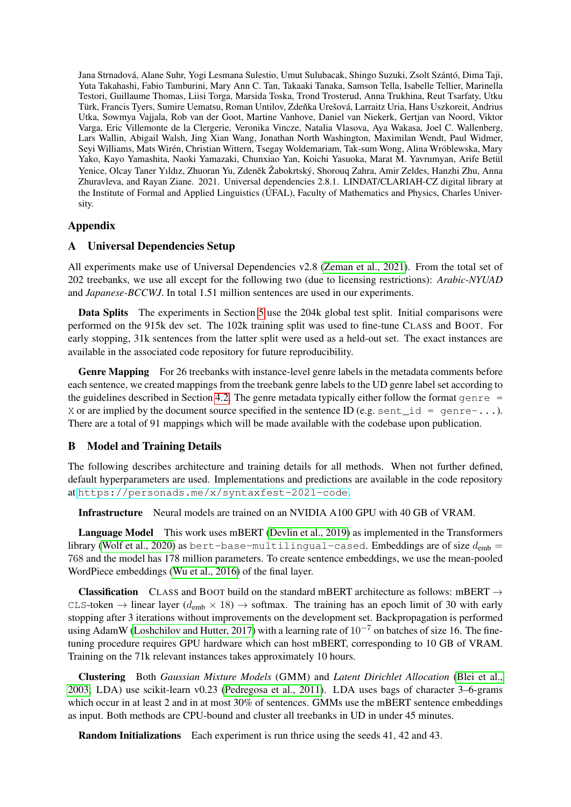Jana Strnadová, Alane Suhr, Yogi Lesmana Sulestio, Umut Sulubacak, Shingo Suzuki, Zsolt Szántó, Dima Taji, Yuta Takahashi, Fabio Tamburini, Mary Ann C. Tan, Takaaki Tanaka, Samson Tella, Isabelle Tellier, Marinella Testori, Guillaume Thomas, Liisi Torga, Marsida Toska, Trond Trosterud, Anna Trukhina, Reut Tsarfaty, Utku Türk, Francis Tyers, Sumire Uematsu, Roman Untilov, Zdenka Urešová, Larraitz Uria, Hans Uszkoreit, Andrius ˇ Utka, Sowmya Vajjala, Rob van der Goot, Martine Vanhove, Daniel van Niekerk, Gertjan van Noord, Viktor Varga, Eric Villemonte de la Clergerie, Veronika Vincze, Natalia Vlasova, Aya Wakasa, Joel C. Wallenberg, Lars Wallin, Abigail Walsh, Jing Xian Wang, Jonathan North Washington, Maximilan Wendt, Paul Widmer, Seyi Williams, Mats Wirén, Christian Wittern, Tsegay Woldemariam, Tak-sum Wong, Alina Wróblewska, Mary Yako, Kayo Yamashita, Naoki Yamazaki, Chunxiao Yan, Koichi Yasuoka, Marat M. Yavrumyan, Arife Betül Yenice, Olcay Taner Yıldız, Zhuoran Yu, Zdeněk Žabokrtský, Shorouq Zahra, Amir Zeldes, Hanzhi Zhu, Anna Zhuravleva, and Rayan Ziane. 2021. Universal dependencies 2.8.1. LINDAT/CLARIAH-CZ digital library at the Institute of Formal and Applied Linguistics (ÚFAL), Faculty of Mathematics and Physics, Charles University.

## Appendix

## <span id="page-15-0"></span>A Universal Dependencies Setup

All experiments make use of Universal Dependencies v2.8 [\(Zeman et al., 2021\)](#page-14-0). From the total set of 202 treebanks, we use all except for the following two (due to licensing restrictions): *Arabic-NYUAD* and *Japanese-BCCWJ*. In total 1.51 million sentences are used in our experiments.

Data Splits The experiments in Section [5](#page-6-0) use the 204k global test split. Initial comparisons were performed on the 915k dev set. The 102k training split was used to fine-tune CLASS and BOOT. For early stopping, 31k sentences from the latter split were used as a held-out set. The exact instances are available in the associated code repository for future reproducibility.

Genre Mapping For 26 treebanks with instance-level genre labels in the metadata comments before each sentence, we created mappings from the treebank genre labels to the UD genre label set according to the guidelines described in Section [4.2.](#page-5-0) The genre metadata typically either follow the format genre  $=$ X or are implied by the document source specified in the sentence ID (e.g. sent \_id = genre-...). There are a total of 91 mappings which will be made available with the codebase upon publication.

### <span id="page-15-1"></span>B Model and Training Details

The following describes architecture and training details for all methods. When not further defined, default hyperparameters are used. Implementations and predictions are available in the code repository at <https://personads.me/x/syntaxfest-2021-code>.

Infrastructure Neural models are trained on an NVIDIA A100 GPU with 40 GB of VRAM.

Language Model This work uses mBERT [\(Devlin et al., 2019\)](#page-10-1) as implemented in the Transformers library [\(Wolf et al., 2020\)](#page-13-13) as bert-base-multilingual-cased. Embeddings are of size  $d_{\text{emb}} =$ 768 and the model has 178 million parameters. To create sentence embeddings, we use the mean-pooled WordPiece embeddings [\(Wu et al., 2016\)](#page-13-14) of the final layer.

**Classification** CLASS and BOOT build on the standard mBERT architecture as follows: mBERT  $\rightarrow$ CLS-token  $\rightarrow$  linear layer ( $d_{emb} \times 18$ )  $\rightarrow$  softmax. The training has an epoch limit of 30 with early stopping after 3 iterations without improvements on the development set. Backpropagation is performed using AdamW [\(Loshchilov and Hutter, 2017\)](#page-11-10) with a learning rate of  $10^{-7}$  on batches of size 16. The finetuning procedure requires GPU hardware which can host mBERT, corresponding to 10 GB of VRAM. Training on the 71k relevant instances takes approximately 10 hours.

Clustering Both *Gaussian Mixture Models* (GMM) and *Latent Dirichlet Allocation* [\(Blei et al.,](#page-10-10) [2003;](#page-10-10) LDA) use scikit-learn v0.23 [\(Pedregosa et al., 2011\)](#page-12-15). LDA uses bags of character 3–6-grams which occur in at least 2 and in at most 30% of sentences. GMMs use the mBERT sentence embeddings as input. Both methods are CPU-bound and cluster all treebanks in UD in under 45 minutes.

Random Initializations Each experiment is run thrice using the seeds 41, 42 and 43.